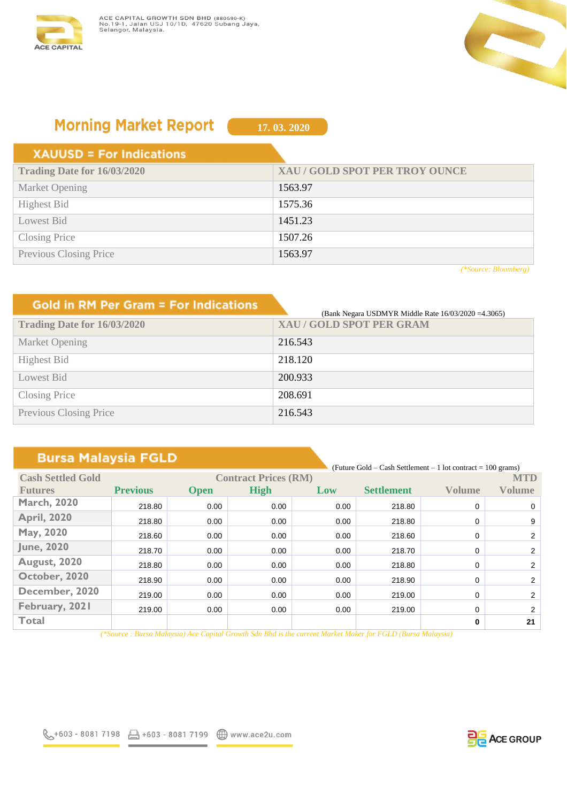



# **Morning Market Report**

**17. 03. 2020**

#### **XAUUSD = For Indications**

| XAU / GOLD SPOT PER TROY OUNCE |
|--------------------------------|
| 1563.97                        |
| 1575.36                        |
| 1451.23                        |
| 1507.26                        |
| 1563.97                        |
|                                |

*(\*Source: Bloomberg)*

| <b>Gold in RM Per Gram = For Indications</b> | (Bank Negara USDMYR Middle Rate 16/03/2020 = 4.3065) |
|----------------------------------------------|------------------------------------------------------|
| Trading Date for 16/03/2020                  | <b>XAU/GOLD SPOT PER GRAM</b>                        |
| Market Opening                               | 216.543                                              |
| <b>Highest Bid</b>                           | 218.120                                              |
| Lowest Bid                                   | 200.933                                              |
| Closing Price                                | 208.691                                              |
| Previous Closing Price                       | 216.543                                              |

## **Bursa Malaysia FGLD**

|                          |                 |                             |             |      | (Future Gold – Cash Settlement – 1 lot contract = $100$ grams) |               |                |
|--------------------------|-----------------|-----------------------------|-------------|------|----------------------------------------------------------------|---------------|----------------|
| <b>Cash Settled Gold</b> |                 | <b>Contract Prices (RM)</b> |             |      |                                                                |               | <b>MTD</b>     |
| <b>Futures</b>           | <b>Previous</b> | <b>Open</b>                 | <b>High</b> | Low  | <b>Settlement</b>                                              | <b>Volume</b> | Volume         |
| <b>March, 2020</b>       | 218.80          | 0.00                        | 0.00        | 0.00 | 218.80                                                         | $\Omega$      | $\mathbf{0}$   |
| <b>April, 2020</b>       | 218.80          | 0.00                        | 0.00        | 0.00 | 218.80                                                         | 0             | 9              |
| May, 2020                | 218.60          | 0.00                        | 0.00        | 0.00 | 218.60                                                         | 0             | 2              |
| <b>June, 2020</b>        | 218.70          | 0.00                        | 0.00        | 0.00 | 218.70                                                         | 0             | $2^{\circ}$    |
| <b>August, 2020</b>      | 218.80          | 0.00                        | 0.00        | 0.00 | 218.80                                                         | 0             | 2              |
| October, 2020            | 218.90          | 0.00                        | 0.00        | 0.00 | 218.90                                                         | 0             | $\overline{2}$ |
| December, 2020           | 219.00          | 0.00                        | 0.00        | 0.00 | 219.00                                                         | 0             | 2              |
| February, 2021           | 219.00          | 0.00                        | 0.00        | 0.00 | 219.00                                                         | 0             | 2              |
| <b>Total</b>             |                 |                             |             |      |                                                                | 0             | 21             |

*(\*Source : Bursa Malaysia) Ace Capital Growth Sdn Bhd is the current Market Maker for FGLD (Bursa Malaysia)*

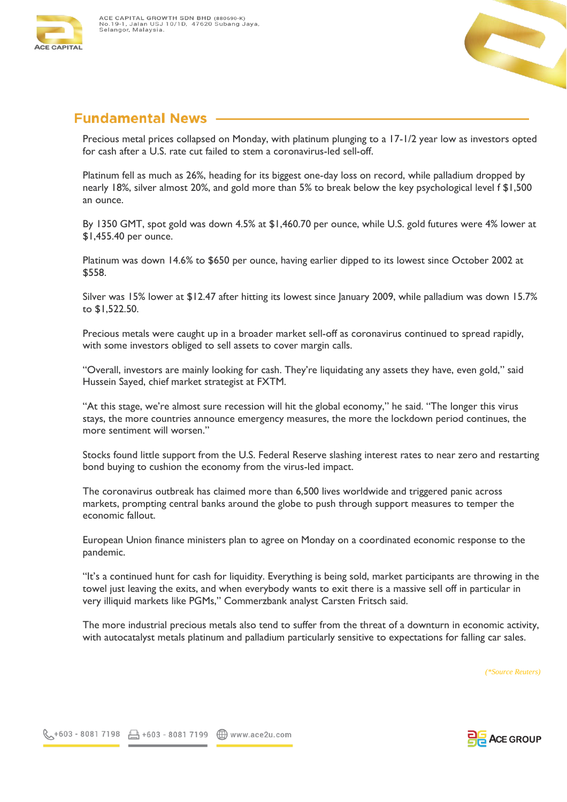



# **Fundamental News**

Precious metal prices collapsed on Monday, with platinum plunging to a 17-1/2 year low as investors opted for cash after a U.S. rate cut failed to stem a coronavirus-led sell-off.

Platinum fell as much as 26%, heading for its biggest one-day loss on record, while palladium dropped by nearly 18%, silver almost 20%, and gold more than 5% to break below the key psychological level f \$1,500 an ounce.

By 1350 GMT, spot gold was down 4.5% at \$1,460.70 per ounce, while U.S. gold futures were 4% lower at \$1,455.40 per ounce.

Platinum was down 14.6% to \$650 per ounce, having earlier dipped to its lowest since October 2002 at \$558.

Silver was 15% lower at \$12.47 after hitting its lowest since January 2009, while palladium was down 15.7% to \$1,522.50.

Precious metals were caught up in a broader market sell-off as coronavirus continued to spread rapidly, with some investors obliged to sell assets to cover margin calls.

"Overall, investors are mainly looking for cash. They're liquidating any assets they have, even gold," said Hussein Sayed, chief market strategist at FXTM.

"At this stage, we're almost sure recession will hit the global economy," he said. "The longer this virus stays, the more countries announce emergency measures, the more the lockdown period continues, the more sentiment will worsen."

Stocks found little support from the U.S. Federal Reserve slashing interest rates to near zero and restarting bond buying to cushion the economy from the virus-led impact.

The coronavirus outbreak has claimed more than 6,500 lives worldwide and triggered panic across markets, prompting central banks around the globe to push through support measures to temper the economic fallout.

European Union finance ministers plan to agree on Monday on a coordinated economic response to the pandemic.

"It's a continued hunt for cash for liquidity. Everything is being sold, market participants are throwing in the towel just leaving the exits, and when everybody wants to exit there is a massive sell off in particular in very illiquid markets like PGMs," Commerzbank analyst Carsten Fritsch said.

The more industrial precious metals also tend to suffer from the threat of a downturn in economic activity, with autocatalyst metals platinum and palladium particularly sensitive to expectations for falling car sales.

*(\*Source Reuters)*

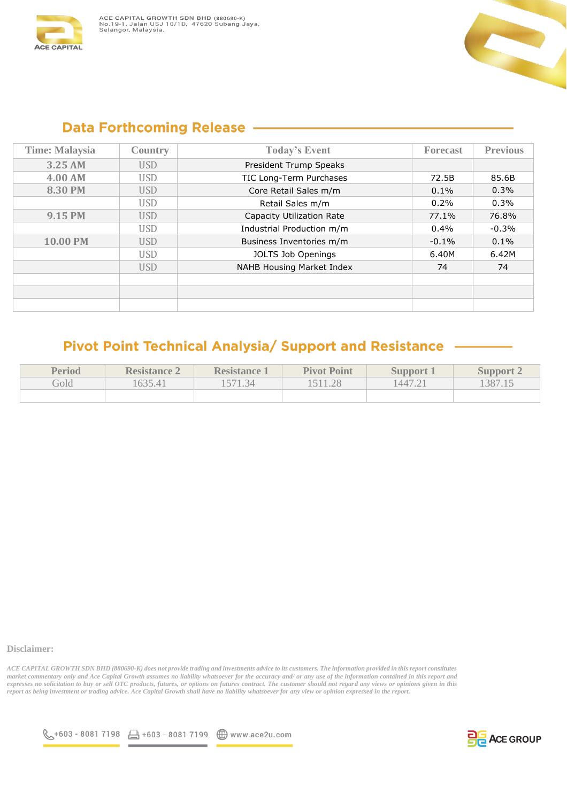



#### **Data Forthcoming Release -**

| <b>Time: Malaysia</b> | <b>Country</b> | <b>Today's Event</b>      | <b>Forecast</b> | <b>Previous</b> |
|-----------------------|----------------|---------------------------|-----------------|-----------------|
| 3.25 AM               | <b>USD</b>     | President Trump Speaks    |                 |                 |
| 4.00 AM               | <b>USD</b>     | TIC Long-Term Purchases   | 72.5B           | 85.6B           |
| 8.30 PM               | <b>USD</b>     | Core Retail Sales m/m     | 0.1%            | 0.3%            |
|                       | <b>USD</b>     | Retail Sales m/m          | 0.2%            | 0.3%            |
| 9.15 PM               | <b>USD</b>     | Capacity Utilization Rate | 77.1%           | 76.8%           |
|                       | <b>USD</b>     | Industrial Production m/m | 0.4%            | $-0.3%$         |
| 10.00 PM              | <b>USD</b>     | Business Inventories m/m  | $-0.1%$         | 0.1%            |
|                       | <b>USD</b>     | JOLTS Job Openings        | 6.40M           | 6.42M           |
|                       | <b>USD</b>     | NAHB Housing Market Index | 74              | 74              |
|                       |                |                           |                 |                 |
|                       |                |                           |                 |                 |
|                       |                |                           |                 |                 |

### Pivot Point Technical Analysia/ Support and Resistance

| Period | <b>Resistance 2</b> | <b>Resistance</b> 1 | <b>Pivot Point</b> | <b>Support</b> | Support 2 |
|--------|---------------------|---------------------|--------------------|----------------|-----------|
| Gold   | 635.41              | 571.34              |                    | 1447.21        | 387.15    |
|        |                     |                     |                    |                |           |

#### **Disclaimer:**

*ACE CAPITAL GROWTH SDN BHD (880690-K) does not provide trading and investments advice to its customers. The information provided in this report constitutes market commentary only and Ace Capital Growth assumes no liability whatsoever for the accuracy and/ or any use of the information contained in this report and expresses no solicitation to buy or sell OTC products, futures, or options on futures contract. The customer should not regard any views or opinions given in this report as being investment or trading advice. Ace Capital Growth shall have no liability whatsoever for any view or opinion expressed in the report.*



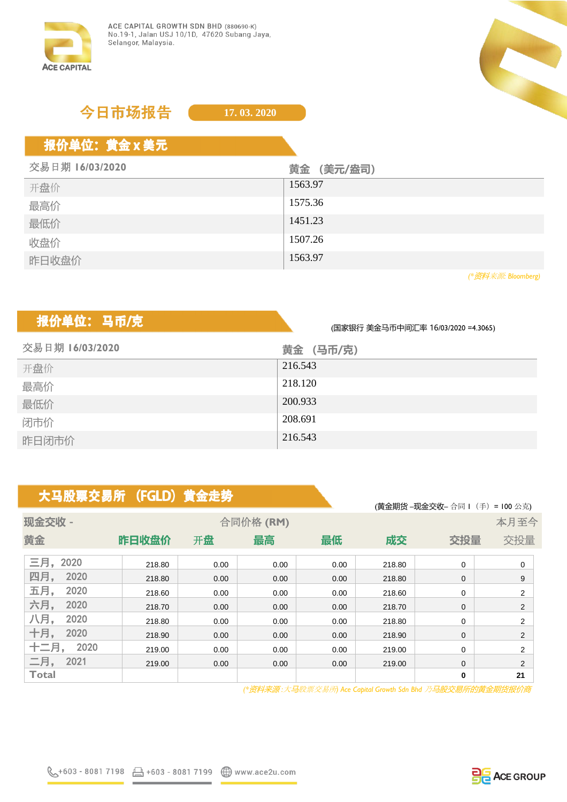

# 今日市场报告

**17. 03. 2020**

# 报价单位: 黄金 x 美元

| 交易日期 16/03/2020 | 黄金 (美元/盎司) |
|-----------------|------------|
| 开盘价             | 1563.97    |
| 最高价             | 1575.36    |
| 最低价             | 1451.23    |
| 收盘价             | 1507.26    |
| 昨日收盘价           | 1563.97    |

*(\**资料来源*: Bloomberg)*

# 报价单位: 马币/克

(国家银行 美金马币中间汇率 16/03/2020 =4.3065)

| 交易日期 16/03/2020 | 黄金 (马币/克) |
|-----------------|-----------|
| 开盘价             | 216.543   |
| 最高价             | 218.120   |
| 最低价             | 200.933   |
| 闭市价             | 208.691   |
| 昨日闭市价           | 216.543   |

# 大马股票交易所 (FGLD) 黄金走势

|              |        |      |          |      |        | (黄金期货-现金交收-合同Ⅰ (手) = 100 公克) |                |
|--------------|--------|------|----------|------|--------|------------------------------|----------------|
| 现金交收 -       |        |      | 合同价格(RM) |      |        |                              | 本月至今           |
| 黄金           | 昨日收盘价  | 开盘   | 最高       | 最低   | 成交     | 交投量                          | 交投量            |
| 三月,<br>2020  | 218.80 | 0.00 | 0.00     | 0.00 | 218.80 | 0                            | $\mathbf 0$    |
| 四月,<br>2020  | 218.80 | 0.00 | 0.00     | 0.00 | 218.80 | $\mathbf{0}$                 | 9              |
| 五月,<br>2020  | 218.60 | 0.00 | 0.00     | 0.00 | 218.60 | 0                            | $\overline{2}$ |
| 六月,<br>2020  | 218.70 | 0.00 | 0.00     | 0.00 | 218.70 | 0                            | 2              |
| 八月,<br>2020  | 218.80 | 0.00 | 0.00     | 0.00 | 218.80 | 0                            | 2              |
| 十月,<br>2020  | 218.90 | 0.00 | 0.00     | 0.00 | 218.90 | 0                            | $\overline{2}$ |
| 十二月,<br>2020 | 219.00 | 0.00 | 0.00     | 0.00 | 219.00 | 0                            | $\overline{2}$ |
| 二月,<br>2021  | 219.00 | 0.00 | 0.00     | 0.00 | 219.00 | 0                            | $\overline{2}$ |
| <b>Total</b> |        |      |          |      |        | 0                            | 21             |

 *(\**资料来源 *:*大马股票交易所*) Ace Capital Growth Sdn Bhd* 乃马股交易所的黄金期货报价商



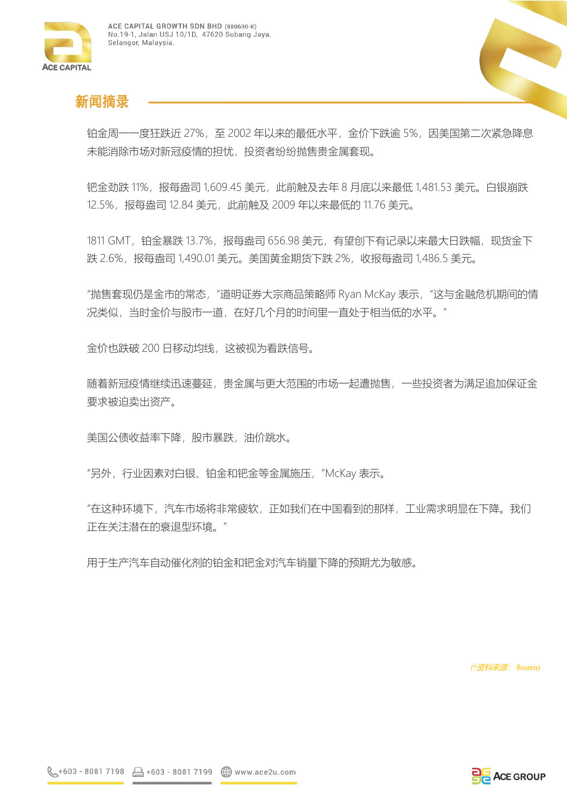



## 新闻摘录

铂金周一一度狂跌近 27%,至 2002 年以来的最低水平,金价下跌逾 5%,因美国第二次紧急降息 未能消除市场对新冠疫情的担忧, 投资者纷纷抛售贵金属套现。

钯金劲跌 11%,报每盎司 1,609.45 美元,此前触及去年 8 月底以来最低 1,481.53 美元。白银崩跌 12.5%,报每盎司 12.84 美元,此前触及 2009 年以来最低的 11.76 美元。

1811 GMT,铂金暴跌 13.7%,报每盎司 656.98 美元,有望创下有记录以来最大日跌幅,现货金下 跌 2.6%,报每盎司 1,490.01 美元。美国黄金期货下跌 2%,收报每盎司 1,486.5 美元。

"抛售套现仍是金市的常态,"道明证券大宗商品策略师 Ryan McKay 表示,"这与金融危机期间的情 况类似,当时金价与股市一道,在好几个月的时间里一直处于相当低的水平。"

金价也跌破 200 日移动均线,这被视为看跌信号。

随着新冠疫情继续迅速蔓延,贵金属与更大范围的市场一起遭抛售,一些投资者为满足追加保证金 要求被迫卖出资产。

美国公债收益率下降,股市暴跌,油价跳水。

"另外,行业因素对白银、铂金和钯金等金属施压,"McKay 表示。

"在这种环境下,汽车市场将非常疲软,正如我们在中国看到的那样,工业需求明显在下降。我们 正在关注潜在的衰退型环境。"

用于生产汽车自动催化剂的铂金和钯金对汽车销量下降的预期尤为敏感。

*(\**资料来源: *Reuters)*